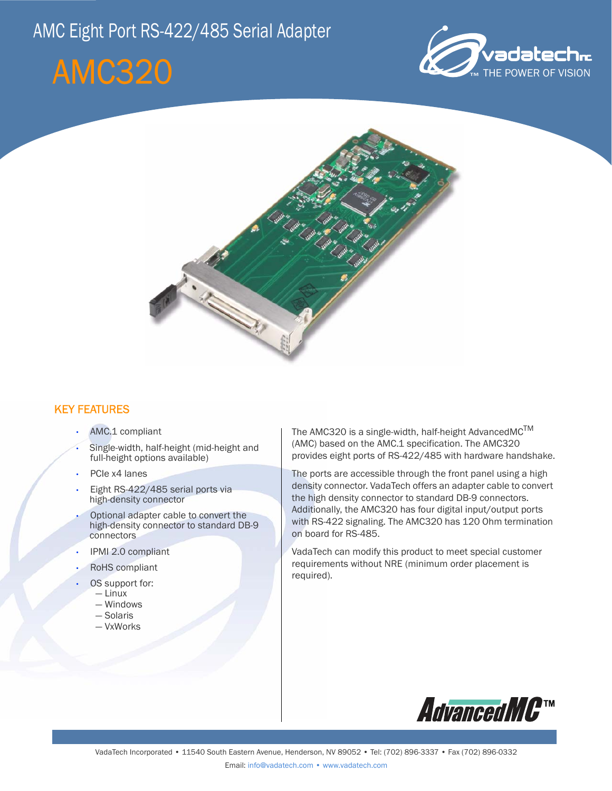# AMC Eight Port RS-422/485 Serial Adapter

# AMC320





### KEY FEATURES

- AMC.1 compliant
- Single-width, half-height (mid-height and full-height options available)
- PCIe x4 lanes
- Eight RS-422/485 serial ports via high-density connector
- Optional adapter cable to convert the high-density connector to standard DB-9 connectors
- IPMI 2.0 compliant
- RoHS compliant
- OS support for:
	- Linux
	- Windows
	- Solaris
	- VxWorks

The AMC320 is a single-width, half-height AdvancedMC<sup>TM</sup> (AMC) based on the AMC.1 specification. The AMC320 provides eight ports of RS-422/485 with hardware handshake.

The ports are accessible through the front panel using a high density connector. VadaTech offers an adapter cable to convert the high density connector to standard DB-9 connectors. Additionally, the AMC320 has four digital input/output ports with RS-422 signaling. The AMC320 has 120 Ohm termination on board for RS-485.

VadaTech can modify this product to meet special customer requirements without NRE (minimum order placement is required).

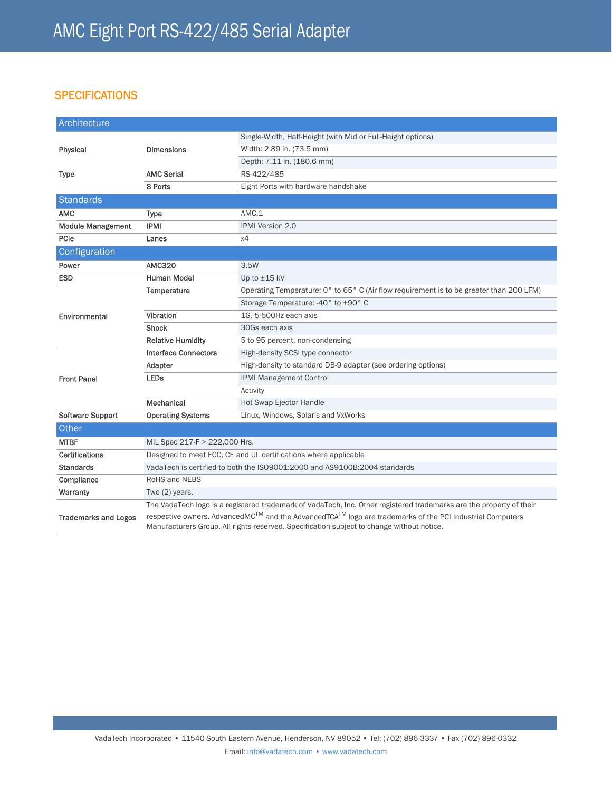### **SPECIFICATIONS**

| Architecture                |                                                                                                                                                                                                      |                                                                                         |
|-----------------------------|------------------------------------------------------------------------------------------------------------------------------------------------------------------------------------------------------|-----------------------------------------------------------------------------------------|
| Physical                    | <b>Dimensions</b>                                                                                                                                                                                    | Single-Width, Half-Height (with Mid or Full-Height options)                             |
|                             |                                                                                                                                                                                                      | Width: 2.89 in. (73.5 mm)                                                               |
|                             |                                                                                                                                                                                                      | Depth: 7.11 in. (180.6 mm)                                                              |
| <b>Type</b>                 | <b>AMC Serial</b>                                                                                                                                                                                    | RS-422/485                                                                              |
|                             | 8 Ports                                                                                                                                                                                              | Eight Ports with hardware handshake                                                     |
| <b>Standards</b>            |                                                                                                                                                                                                      |                                                                                         |
| <b>AMC</b>                  | Type                                                                                                                                                                                                 | AMC.1                                                                                   |
| <b>Module Management</b>    | <b>IPMI</b>                                                                                                                                                                                          | <b>IPMI Version 2.0</b>                                                                 |
| PCIe                        | Lanes                                                                                                                                                                                                | x4                                                                                      |
| Configuration               |                                                                                                                                                                                                      |                                                                                         |
| Power                       | <b>AMC320</b>                                                                                                                                                                                        | 3.5W                                                                                    |
| <b>ESD</b>                  | <b>Human Model</b>                                                                                                                                                                                   | Up to $±15$ kV                                                                          |
| Environmental               | Temperature                                                                                                                                                                                          | Operating Temperature: 0° to 65° C (Air flow requirement is to be greater than 200 LFM) |
|                             |                                                                                                                                                                                                      | Storage Temperature: -40° to +90° C                                                     |
|                             | Vibration                                                                                                                                                                                            | 1G. 5-500Hz each axis                                                                   |
|                             | <b>Shock</b>                                                                                                                                                                                         | 30Gs each axis                                                                          |
|                             | <b>Relative Humidity</b>                                                                                                                                                                             | 5 to 95 percent, non-condensing                                                         |
| <b>Front Panel</b>          | <b>Interface Connectors</b>                                                                                                                                                                          | High-density SCSI type connector                                                        |
|                             | Adapter                                                                                                                                                                                              | High-density to standard DB-9 adapter (see ordering options)                            |
|                             | <b>LEDs</b>                                                                                                                                                                                          | <b>IPMI Management Control</b>                                                          |
|                             |                                                                                                                                                                                                      | Activity                                                                                |
|                             | Mechanical                                                                                                                                                                                           | <b>Hot Swap Ejector Handle</b>                                                          |
| Software Support            | <b>Operating Systems</b>                                                                                                                                                                             | Linux, Windows, Solaris and VxWorks                                                     |
| Other                       |                                                                                                                                                                                                      |                                                                                         |
| <b>MTBF</b>                 | MIL Spec 217-F > 222,000 Hrs.                                                                                                                                                                        |                                                                                         |
| Certifications              | Designed to meet FCC, CE and UL certifications where applicable                                                                                                                                      |                                                                                         |
| <b>Standards</b>            | VadaTech is certified to both the ISO9001:2000 and AS9100B:2004 standards                                                                                                                            |                                                                                         |
| Compliance                  | RoHS and NEBS                                                                                                                                                                                        |                                                                                         |
| Warranty                    | Two (2) years.                                                                                                                                                                                       |                                                                                         |
| <b>Trademarks and Logos</b> | The VadaTech logo is a registered trademark of VadaTech, Inc. Other registered trademarks are the property of their                                                                                  |                                                                                         |
|                             | respective owners. AdvancedMC™ and the AdvancedTCA™ logo are trademarks of the PCI Industrial Computers<br>Manufacturers Group. All rights reserved. Specification subject to change without notice. |                                                                                         |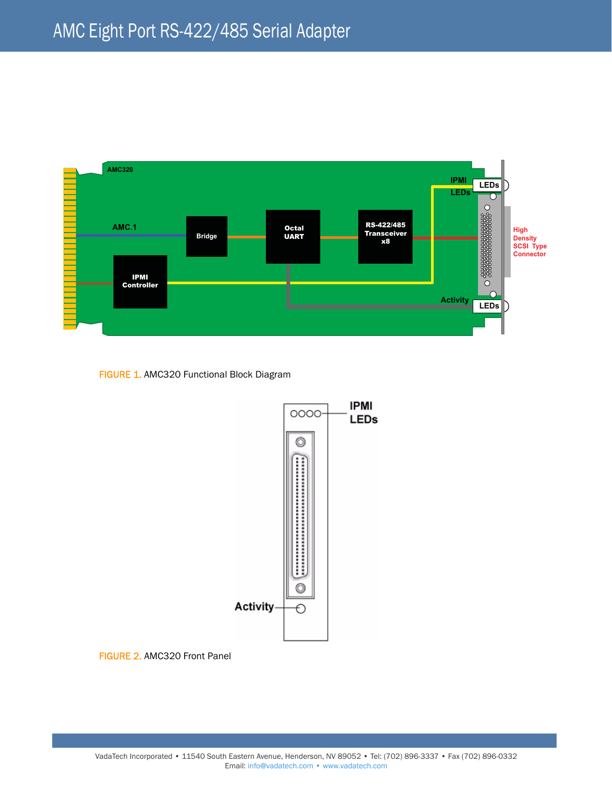

FIGURE 1. AMC320 Functional Block Diagram



FIGURE 2. AMC320 Front Panel